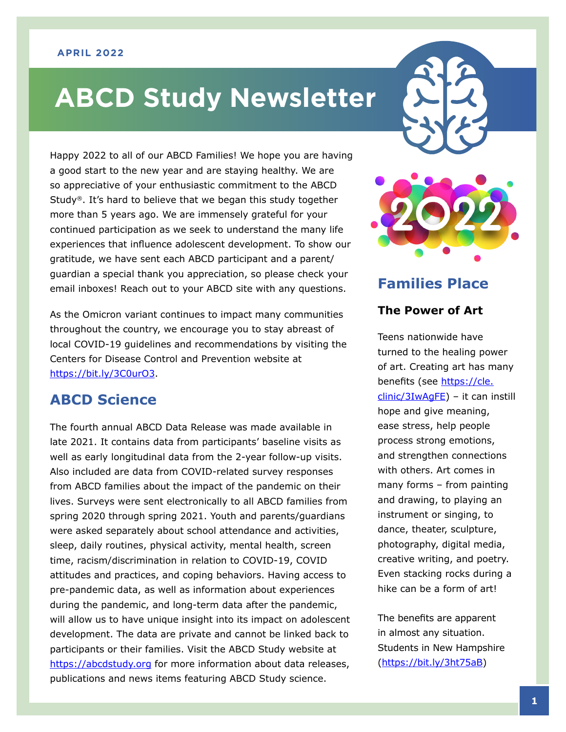# **ABCD Study Newsletter**

Happy 2022 to all of our ABCD Families! We hope you are having a good start to the new year and are staying healthy. We are so appreciative of your enthusiastic commitment to the ABCD Study®. It's hard to believe that we began this study together more than 5 years ago. We are immensely grateful for your continued participation as we seek to understand the many life experiences that influence adolescent development. To show our gratitude, we have sent each ABCD participant and a parent/ guardian a special thank you appreciation, so please check your email inboxes! Reach out to your ABCD site with any questions.

As the Omicron variant continues to impact many communities throughout the country, we encourage you to stay abreast of local COVID-19 guidelines and recommendations by visiting the Centers for Disease Control and Prevention website at [https://bit.ly/3C0urO3.](https://bit.ly/3C0urO3)

### **ABCD Science**

The fourth annual ABCD Data Release was made available in late 2021. It contains data from participants' baseline visits as well as early longitudinal data from the 2-year follow-up visits. Also included are data from COVID-related survey responses from ABCD families about the impact of the pandemic on their lives. Surveys were sent electronically to all ABCD families from spring 2020 through spring 2021. Youth and parents/guardians were asked separately about school attendance and activities, sleep, daily routines, physical activity, mental health, screen time, racism/discrimination in relation to COVID-19, COVID attitudes and practices, and coping behaviors. Having access to pre-pandemic data, as well as information about experiences during the pandemic, and long-term data after the pandemic, will allow us to have unique insight into its impact on adolescent development. The data are private and cannot be linked back to participants or their families. Visit the ABCD Study website at <https://abcdstudy.org>for more information about data releases, publications and news items featuring ABCD Study science.





## **Families Place**

#### **The Power of Art**

Teens nationwide have turned to the healing power of art. Creating art has many benefits (see [https://cle.](https://cle.clinic/3IwAgFE) [clinic/3IwAgFE](https://cle.clinic/3IwAgFE)) – it can instill hope and give meaning, ease stress, help people process strong emotions, and strengthen connections with others. Art comes in many forms – from painting and drawing, to playing an instrument or singing, to dance, theater, sculpture, photography, digital media, creative writing, and poetry. Even stacking rocks during a hike can be a form of art!

The benefits are apparent in almost any situation. Students in New Hampshire (<https://bit.ly/3ht75aB>)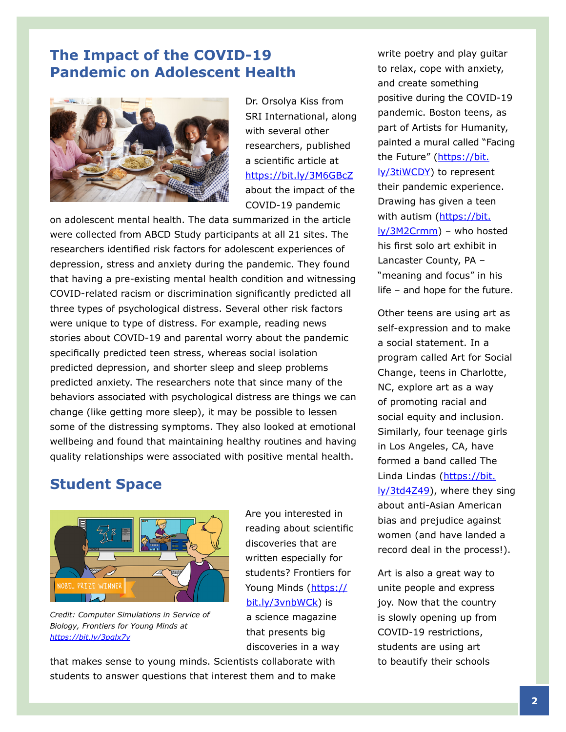#### **The Impact of the COVID-19 Pandemic on Adolescent Health**



Dr. Orsolya Kiss from SRI International, along with several other researchers, published a scientific article at <https://bit.ly/3M6GBcZ> about the impact of the COVID-19 pandemic

on adolescent mental health. The data summarized in the article were collected from ABCD Study participants at all 21 sites. The researchers identified risk factors for adolescent experiences of depression, stress and anxiety during the pandemic. They found that having a pre-existing mental health condition and witnessing COVID-related racism or discrimination significantly predicted all three types of psychological distress. Several other risk factors were unique to type of distress. For example, reading news stories about COVID-19 and parental worry about the pandemic specifically predicted teen stress, whereas social isolation predicted depression, and shorter sleep and sleep problems predicted anxiety. The researchers note that since many of the behaviors associated with psychological distress are things we can change (like getting more sleep), it may be possible to lessen some of the distressing symptoms. They also looked at emotional wellbeing and found that maintaining healthy routines and having quality relationships were associated with positive mental health.

## **Student Space**



*Credit: Computer Simulations in Service of Biology, Frontiers for Young Minds at <https://bit.ly/3pqlx7v>*

Are you interested in reading about scientific discoveries that are written especially for students? Frontiers for Young Minds ([https://](https://bit.ly/3vnbWCk) [bit.ly/3vnbWCk\)](https://bit.ly/3vnbWCk) is a science magazine

that presents big discoveries in a way

that makes sense to young minds. Scientists collaborate with students to answer questions that interest them and to make write poetry and play guitar to relax, cope with anxiety, and create something positive during the COVID-19 pandemic. Boston teens, as part of Artists for Humanity, painted a mural called "Facing the Future" ([https://bit.](https://bit.ly/3tiWCDY) [ly/3tiWCDY\)](https://bit.ly/3tiWCDY) to represent their pandemic experience. Drawing has given a teen with autism ([https://bit.](https://bit.ly/3M2Crmm) [ly/3M2Crmm\)](https://bit.ly/3M2Crmm) – who hosted his first solo art exhibit in Lancaster County, PA – "meaning and focus" in his life – and hope for the future.

Other teens are using art as self-expression and to make a social statement. In a program called Art for Social Change, teens in Charlotte, NC, explore art as a way of promoting racial and social equity and inclusion. Similarly, four teenage girls in Los Angeles, CA, have formed a band called The Linda Lindas ([https://bit.](https://bit.ly/3td4Z49) [ly/3td4Z49\)](https://bit.ly/3td4Z49), where they sing about anti-Asian American bias and prejudice against women (and have landed a record deal in the process!).

Art is also a great way to unite people and express joy. Now that the country is slowly opening up from COVID-19 restrictions, students are using art to beautify their schools